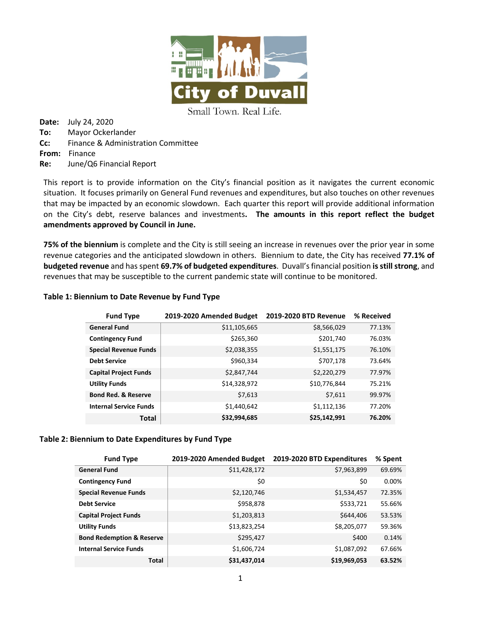

Small Town. Real Life.

**Date:** July 24, 2020 **To:** Mayor Ockerlander **Cc:** Finance & Administration Committee **From:** Finance **Re:** June/Q6 Financial Report

This report is to provide information on the City's financial position as it navigates the current economic situation. It focuses primarily on General Fund revenues and expenditures, but also touches on other revenues that may be impacted by an economic slowdown. Each quarter this report will provide additional information on the City's debt, reserve balances and investments**. The amounts in this report reflect the budget amendments approved by Council in June.**

**75% of the biennium** is complete and the City is still seeing an increase in revenues over the prior year in some revenue categories and the anticipated slowdown in others. Biennium to date, the City has received **77.1% of budgeted revenue** and has spent **69.7% of budgeted expenditures**. Duvall's financial position **is still strong**, and revenues that may be susceptible to the current pandemic state will continue to be monitored.

## **Table 1: Biennium to Date Revenue by Fund Type**

| <b>Fund Type</b>               | 2019-2020 Amended Budget | <b>2019-2020 BTD Revenue</b> | % Received |
|--------------------------------|--------------------------|------------------------------|------------|
| <b>General Fund</b>            | \$11,105,665             | \$8,566,029                  | 77.13%     |
| <b>Contingency Fund</b>        | \$265,360                | \$201,740                    | 76.03%     |
| <b>Special Revenue Funds</b>   | \$2,038,355              | \$1,551,175                  | 76.10%     |
| <b>Debt Service</b>            | \$960,334                | \$707,178                    | 73.64%     |
| <b>Capital Project Funds</b>   | \$2,847,744              | \$2,220,279                  | 77.97%     |
| <b>Utility Funds</b>           | \$14,328,972             | \$10,776,844                 | 75.21%     |
| <b>Bond Red. &amp; Reserve</b> | \$7,613                  | \$7,611                      | 99.97%     |
| <b>Internal Service Funds</b>  | \$1,440,642              | \$1,112,136                  | 77.20%     |
| Total                          | \$32,994,685             | \$25,142,991                 | 76.20%     |

### **Table 2: Biennium to Date Expenditures by Fund Type**

| <b>Fund Type</b>                     | 2019-2020 Amended Budget | 2019-2020 BTD Expenditures | % Spent |
|--------------------------------------|--------------------------|----------------------------|---------|
| <b>General Fund</b>                  | \$11,428,172             | \$7,963,899                | 69.69%  |
| <b>Contingency Fund</b>              | \$0                      | \$0                        | 0.00%   |
| <b>Special Revenue Funds</b>         | \$2,120,746              | \$1,534,457                | 72.35%  |
| <b>Debt Service</b>                  | \$958,878                | \$533,721                  | 55.66%  |
| <b>Capital Project Funds</b>         | \$1,203,813              | \$644,406                  | 53.53%  |
| <b>Utility Funds</b>                 | \$13,823,254             | \$8,205,077                | 59.36%  |
| <b>Bond Redemption &amp; Reserve</b> | \$295,427                | \$400                      | 0.14%   |
| <b>Internal Service Funds</b>        | \$1,606,724              | \$1,087,092                | 67.66%  |
| <b>Total</b>                         | \$31,437,014             | \$19,969,053               | 63.52%  |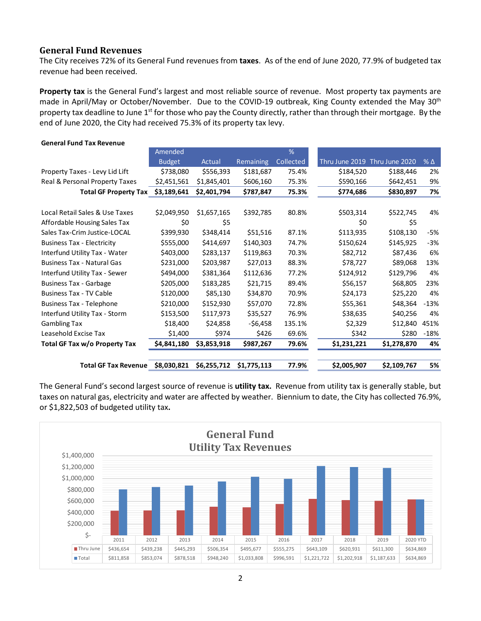## **General Fund Revenues**

The City receives 72% of its General Fund revenues from **taxes**. As of the end of June 2020, 77.9% of budgeted tax revenue had been received.

**Property tax** is the General Fund's largest and most reliable source of revenue. Most property tax payments are made in April/May or October/November. Due to the COVID-19 outbreak, King County extended the May 30<sup>th</sup> property tax deadline to June 1<sup>st</sup> for those who pay the County directly, rather than through their mortgage. By the end of June 2020, the City had received 75.3% of its property tax levy.

| <b>General Fund Tax Revenue</b>   |               |             |                  |           |                |                |              |
|-----------------------------------|---------------|-------------|------------------|-----------|----------------|----------------|--------------|
|                                   | Amended       |             |                  | %         |                |                |              |
|                                   | <b>Budget</b> | Actual      | <b>Remaining</b> | Collected | Thru June 2019 | Thru June 2020 | $%$ $\Delta$ |
| Property Taxes - Levy Lid Lift    | \$738,080     | \$556,393   | \$181,687        | 75.4%     | \$184,520      | \$188,446      | 2%           |
| Real & Personal Property Taxes    | \$2,451,561   | \$1,845,401 | \$606,160        | 75.3%     | \$590,166      | \$642,451      | 9%           |
| <b>Total GF Property Tax</b>      | \$3,189,641   | \$2,401,794 | \$787,847        | 75.3%     | \$774,686      | \$830,897      | 7%           |
|                                   |               |             |                  |           |                |                |              |
| Local Retail Sales & Use Taxes    | \$2,049,950   | \$1,657,165 | \$392,785        | 80.8%     | \$503,314      | \$522,745      | 4%           |
| Affordable Housing Sales Tax      | \$0           | \$5         |                  |           | \$0            | \$5            |              |
| Sales Tax-Crim Justice-LOCAL      | \$399,930     | \$348,414   | \$51,516         | 87.1%     | \$113,935      | \$108,130      | -5%          |
| <b>Business Tax - Electricity</b> | \$555,000     | \$414,697   | \$140,303        | 74.7%     | \$150,624      | \$145,925      | $-3%$        |
| Interfund Utility Tax - Water     | \$403,000     | \$283,137   | \$119,863        | 70.3%     | \$82,712       | \$87,436       | 6%           |
| <b>Business Tax - Natural Gas</b> | \$231,000     | \$203,987   | \$27,013         | 88.3%     | \$78,727       | \$89,068       | 13%          |
| Interfund Utility Tax - Sewer     | \$494,000     | \$381,364   | \$112,636        | 77.2%     | \$124,912      | \$129,796      | 4%           |
| <b>Business Tax - Garbage</b>     | \$205,000     | \$183,285   | \$21,715         | 89.4%     | \$56,157       | \$68,805       | 23%          |
| <b>Business Tax - TV Cable</b>    | \$120,000     | \$85,130    | \$34,870         | 70.9%     | \$24,173       | \$25,220       | 4%           |
| <b>Business Tax - Telephone</b>   | \$210,000     | \$152,930   | \$57,070         | 72.8%     | \$55,361       | \$48,364       | $-13%$       |
| Interfund Utility Tax - Storm     | \$153,500     | \$117,973   | \$35,527         | 76.9%     | \$38,635       | \$40,256       | 4%           |
| <b>Gambling Tax</b>               | \$18,400      | \$24,858    | -\$6,458         | 135.1%    | \$2,329        | \$12,840       | 451%         |
| Leasehold Excise Tax              | \$1,400       | \$974       | \$426            | 69.6%     | \$342          | \$280          | $-18%$       |
| Total GF Tax w/o Property Tax     | \$4,841,180   | \$3,853,918 | \$987,267        | 79.6%     | \$1,231,221    | \$1,278,870    | 4%           |
| <b>Total GF Tax Revenue</b>       | \$8,030,821   | \$6,255,712 | \$1,775,113      | 77.9%     | \$2,005,907    | \$2,109,767    | 5%           |

The General Fund's second largest source of revenue is **utility tax.** Revenue from utility tax is generally stable, but taxes on natural gas, electricity and water are affected by weather. Biennium to date, the City has collected 76.9%, or \$1,822,503 of budgeted utility tax**.** 

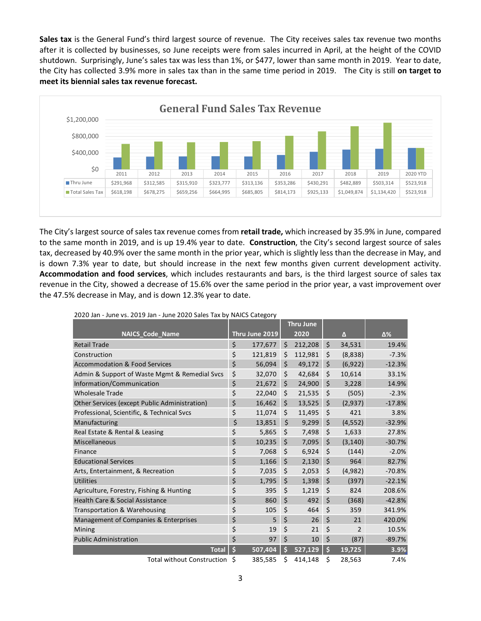**Sales tax** is the General Fund's third largest source of revenue. The City receives sales tax revenue two months after it is collected by businesses, so June receipts were from sales incurred in April, at the height of the COVID shutdown. Surprisingly, June's sales tax was less than 1%, or \$477, lower than same month in 2019. Year to date, the City has collected 3.9% more in sales tax than in the same time period in 2019. The City is still **on target to meet its biennial sales tax revenue forecast.**



The City's largest source of sales tax revenue comes from **retail trade,** which increased by 35.9% in June, compared to the same month in 2019, and is up 19.4% year to date. **Construction**, the City's second largest source of sales tax, decreased by 40.9% over the same month in the prior year, which is slightly less than the decrease in May, and is down 7.3% year to date, but should increase in the next few months given current development activity. **Accommodation and food services**, which includes restaurants and bars, is the third largest source of sales tax revenue in the City, showed a decrease of 15.6% over the same period in the prior year, a vast improvement over the 47.5% decrease in May, and is down 12.3% year to date.

| $\sim$ san sance vor E015 san sance E016 barco raw by in neo category |                |         | <b>Thru June</b> |                      |          |
|-----------------------------------------------------------------------|----------------|---------|------------------|----------------------|----------|
| <b>NAICS Code Name</b>                                                | Thru June 2019 |         | 2020             | Δ                    | Δ%       |
| <b>Retail Trade</b>                                                   | \$<br>177,677  | Ś       | 212,208          | \$<br>34,531         | 19.4%    |
|                                                                       |                |         |                  |                      |          |
| Construction                                                          | \$<br>121,819  | \$      | 112,981          | \$<br>(8,838)        | $-7.3%$  |
| <b>Accommodation &amp; Food Services</b>                              | \$<br>56,094   | \$      | 49,172           | \$<br>(6,922)        | $-12.3%$ |
| Admin & Support of Waste Mgmt & Remedial Svcs                         | \$<br>32,070   | \$      | 42,684           | \$<br>10,614         | 33.1%    |
| Information/Communication                                             | \$<br>21,672   | \$      | 24,900           | \$<br>3,228          | 14.9%    |
| <b>Wholesale Trade</b>                                                | \$<br>22,040   | \$      | 21,535           | \$<br>(505)          | $-2.3%$  |
| Other Services (except Public Administration)                         | \$<br>16,462   | \$      | 13,525           | \$<br>(2,937)        | $-17.8%$ |
| Professional, Scientific, & Technical Svcs                            | \$<br>11,074   | \$      | 11,495           | \$<br>421            | 3.8%     |
| Manufacturing                                                         | \$<br>13,851   | $\zeta$ | 9,299            | \$<br>(4, 552)       | $-32.9%$ |
| Real Estate & Rental & Leasing                                        | \$<br>5.865    | Ś.      | 7,498            | \$<br>1,633          | 27.8%    |
| Miscellaneous                                                         | \$<br>10.235   | Ś.      | 7,095            | \$<br>(3, 140)       | $-30.7%$ |
| Finance                                                               | \$<br>7,068    | \$      | 6,924            | \$<br>(144)          | $-2.0%$  |
| <b>Educational Services</b>                                           | \$<br>1,166    | \$      | 2,130            | \$<br>964            | 82.7%    |
| Arts, Entertainment, & Recreation                                     | \$<br>7,035    | \$      | 2,053            | \$<br>(4,982)        | $-70.8%$ |
| <b>Utilities</b>                                                      | \$<br>1,795    | \$      | 1,398            | \$<br>(397)          | $-22.1%$ |
| Agriculture, Forestry, Fishing & Hunting                              | \$<br>395      | \$      | 1,219            | \$<br>824            | 208.6%   |
| <b>Health Care &amp; Social Assistance</b>                            | \$<br>860      | \$      | 492              | \$<br>(368)          | $-42.8%$ |
| Transportation & Warehousing                                          | \$<br>105      | \$      | 464              | \$<br>359            | 341.9%   |
| Management of Companies & Enterprises                                 | \$<br>5        | \$      | 26               | \$<br>21             | 420.0%   |
| Mining                                                                | \$<br>19       | \$      | 21               | \$<br>$\overline{2}$ | 10.5%    |
| <b>Public Administration</b>                                          | \$<br>97       | \$      | 10               | \$<br>(87)           | $-89.7%$ |
| <b>Total</b>                                                          | \$<br>507,404  | Ś       | 527,129          | \$<br>19,725         | 3.9%     |
| <b>Total without Construction</b>                                     | \$<br>385,585  | \$      | 414,148          | \$<br>28,563         | 7.4%     |

2020 Jan - June vs. 2019 Jan - June 2020 Sales Tax by NAICS Category

3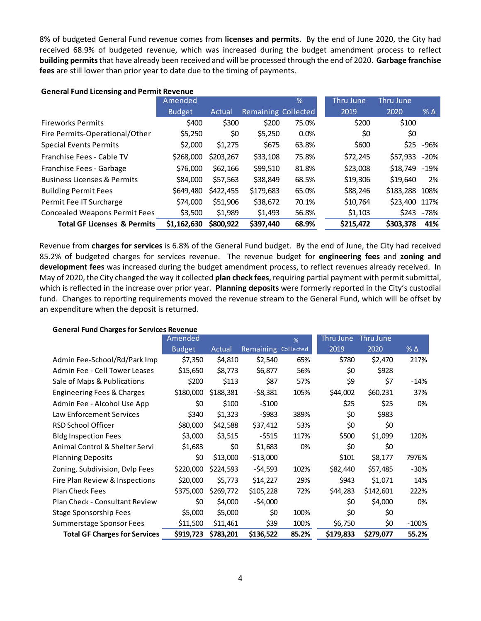8% of budgeted General Fund revenue comes from **licenses and permits**. By the end of June 2020, the City had received 68.9% of budgeted revenue, which was increased during the budget amendment process to reflect **building permits**that have already been received and will be processed through the end of 2020. **Garbage franchise fees** are still lower than prior year to date due to the timing of payments.

|                                        | Amended       |           |                     | %     | Thru June | Thru June      |              |
|----------------------------------------|---------------|-----------|---------------------|-------|-----------|----------------|--------------|
|                                        | <b>Budget</b> | Actual    | Remaining Collected |       | 2019      | 2020           | $%$ $\Delta$ |
| <b>Fireworks Permits</b>               | \$400         | \$300     | \$200               | 75.0% | \$200     | \$100          |              |
| Fire Permits-Operational/Other         | \$5,250       | \$0       | \$5,250             | 0.0%  | \$0       | \$0            |              |
| <b>Special Events Permits</b>          | \$2,000       | \$1,275   | \$675               | 63.8% | \$600     |                | \$25 -96%    |
| Franchise Fees - Cable TV              | \$268,000     | \$203,267 | \$33,108            | 75.8% | \$72,245  | \$57,933       | $-20%$       |
| Franchise Fees - Garbage               | \$76,000      | \$62,166  | \$99,510            | 81.8% | \$23,008  | \$18,749       | $-19%$       |
| <b>Business Licenses &amp; Permits</b> | \$84,000      | \$57,563  | \$38,849            | 68.5% | \$19,306  | \$19,640       | 2%           |
| <b>Building Permit Fees</b>            | \$649,480     | \$422,455 | \$179,683           | 65.0% | \$88,246  | \$183,288 108% |              |
| Permit Fee IT Surcharge                | \$74,000      | \$51,906  | \$38,672            | 70.1% | \$10,764  | \$23,400 117%  |              |
| <b>Concealed Weapons Permit Fees</b>   | \$3,500       | \$1,989   | \$1,493             | 56.8% | \$1,103   | \$243          | -78%         |
| <b>Total GF Licenses &amp; Permits</b> | \$1,162,630   | \$800,922 | \$397,440           | 68.9% | \$215,472 | \$303,378      | 41%          |

### **General Fund Licensing and Permit Revenue**

Revenue from **charges for services** is 6.8% of the General Fund budget. By the end of June, the City had received 85.2% of budgeted charges for services revenue. The revenue budget for **engineering fees** and **zoning and development fees** was increased during the budget amendment process, to reflect revenues already received. In May of 2020, the City changed the way it collected **plan check fees**, requiring partial payment with permit submittal, which is reflected in the increase over prior year. **Planning deposits** were formerly reported in the City's custodial fund. Changes to reporting requirements moved the revenue stream to the General Fund, which will be offset by an expenditure when the deposit is returned.

#### **General Fund Charges for Services Revenue**

|                                      | Amended       |           |                     | %     | Thru June | Thru June |                 |
|--------------------------------------|---------------|-----------|---------------------|-------|-----------|-----------|-----------------|
|                                      | <b>Budget</b> | Actual    | Remaining Collected |       | 2019      | 2020      | $%$ $\triangle$ |
| Admin Fee-School/Rd/Park Imp         | \$7,350       | \$4,810   | \$2,540             | 65%   | \$780     | \$2,470   | 217%            |
| Admin Fee - Cell Tower Leases        | \$15,650      | \$8,773   | \$6,877             | 56%   | \$0       | \$928     |                 |
| Sale of Maps & Publications          | \$200         | \$113     | \$87                | 57%   | \$9       | \$7       | $-14%$          |
| Engineering Fees & Charges           | \$180,000     | \$188,381 | $-58,381$           | 105%  | \$44,002  | \$60,231  | 37%             |
| Admin Fee - Alcohol Use App          | \$0           | \$100     | $-5100$             |       | \$25      | \$25      | 0%              |
| Law Enforcement Services             | \$340         | \$1,323   | $-$ \$983           | 389%  | \$0       | \$983     |                 |
| RSD School Officer                   | \$80,000      | \$42,588  | \$37,412            | 53%   | \$0       | \$0       |                 |
| <b>Bldg Inspection Fees</b>          | \$3,000       | \$3,515   | $-5515$             | 117%  | \$500     | \$1,099   | 120%            |
| Animal Control & Shelter Servi       | \$1,683       | \$0       | \$1,683             | 0%    | \$0       | \$0       |                 |
| <b>Planning Deposits</b>             | \$0           | \$13,000  | $-513,000$          |       | \$101     | \$8,177   | 7976%           |
| Zoning, Subdivision, Dvlp Fees       | \$220,000     | \$224,593 | $-54,593$           | 102%  | \$82,440  | \$57,485  | $-30%$          |
| Fire Plan Review & Inspections       | \$20,000      | \$5,773   | \$14,227            | 29%   | \$943     | \$1,071   | 14%             |
| <b>Plan Check Fees</b>               | \$375,000     | \$269,772 | \$105,228           | 72%   | \$44,283  | \$142,601 | 222%            |
| Plan Check - Consultant Review       | \$0           | \$4,000   | $-54,000$           |       | \$0       | \$4,000   | 0%              |
| <b>Stage Sponsorship Fees</b>        | \$5,000       | \$5,000   | \$0                 | 100%  | \$0       | \$0       |                 |
| Summerstage Sponsor Fees             | \$11,500      | \$11,461  | \$39                | 100%  | \$6,750   | \$0       | $-100\%$        |
| <b>Total GF Charges for Services</b> | \$919,723     | \$783,201 | \$136,522           | 85.2% | \$179,833 | \$279,077 | 55.2%           |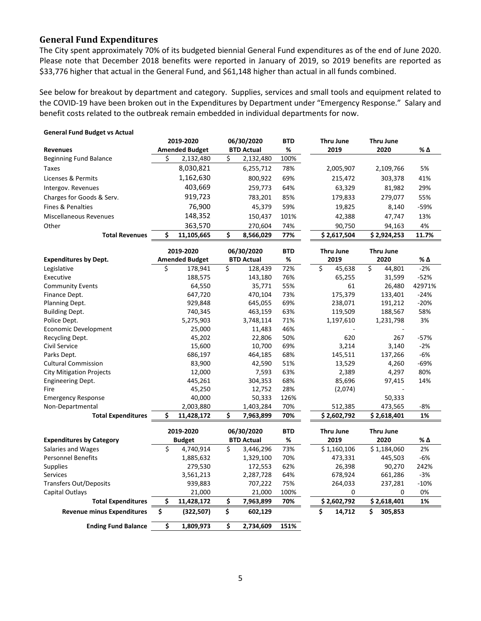## **General Fund Expenditures**

The City spent approximately 70% of its budgeted biennial General Fund expenditures as of the end of June 2020. Please note that December 2018 benefits were reported in January of 2019, so 2019 benefits are reported as \$33,776 higher that actual in the General Fund, and \$61,148 higher than actual in all funds combined.

See below for breakout by department and category. Supplies, services and small tools and equipment related to the COVID-19 have been broken out in the Expenditures by Department under "Emergency Response." Salary and benefit costs related to the outbreak remain embedded in individual departments for now.

| <b>General Fund Budget vs Actual</b> |                            |    |                       |    |                   |            |                  |                  |        |
|--------------------------------------|----------------------------|----|-----------------------|----|-------------------|------------|------------------|------------------|--------|
|                                      |                            |    | 2019-2020             |    | 06/30/2020        | BTD        | Thru June        | Thru June        |        |
| <b>Revenues</b>                      |                            |    | <b>Amended Budget</b> |    | <b>BTD Actual</b> | %          | 2019             | 2020             | % Δ    |
| <b>Beginning Fund Balance</b>        |                            | Ś  | 2,132,480             | Ś. | 2,132,480         | 100%       |                  |                  |        |
| <b>Taxes</b>                         |                            |    | 8,030,821             |    | 6,255,712         | 78%        | 2,005,907        | 2,109,766        | 5%     |
| Licenses & Permits                   |                            |    | 1,162,630             |    | 800,922           | 69%        | 215,472          | 303,378          | 41%    |
| Intergov. Revenues                   |                            |    | 403,669               |    | 259,773           | 64%        | 63,329           | 81,982           | 29%    |
| Charges for Goods & Serv.            |                            |    | 919,723               |    | 783,201           | 85%        | 179,833          | 279,077          | 55%    |
| <b>Fines &amp; Penalties</b>         |                            |    | 76,900                |    | 45,379            | 59%        | 19,825           | 8,140            | $-59%$ |
| <b>Miscellaneous Revenues</b>        |                            |    | 148,352               |    | 150,437           | 101%       | 42,388           | 47,747           | 13%    |
| Other                                |                            |    | 363,570               |    | 270,604           | 74%        | 90,750           | 94,163           | 4%     |
|                                      | <b>Total Revenues</b>      | \$ | 11,105,665            | \$ | 8,566,029         | 77%        | \$2,617,504      | \$2,924,253      | 11.7%  |
|                                      |                            |    |                       |    |                   |            |                  |                  |        |
|                                      |                            |    | 2019-2020             |    | 06/30/2020        | <b>BTD</b> | <b>Thru June</b> | <b>Thru June</b> |        |
| <b>Expenditures by Dept.</b>         |                            |    | <b>Amended Budget</b> |    | <b>BTD Actual</b> | %          | 2019             | 2020             | % Δ    |
| Legislative                          |                            | \$ | 178,941               | \$ | 128,439           | 72%        | \$<br>45,638     | \$<br>44,801     | $-2%$  |
| Executive                            |                            |    | 188,575               |    | 143,180           | 76%        | 65,255           | 31,599           | $-52%$ |
| <b>Community Events</b>              |                            |    | 64,550                |    | 35,771            | 55%        | 61               | 26,480           | 42971% |
| Finance Dept.                        |                            |    | 647,720               |    | 470,104           | 73%        | 175,379          | 133,401          | $-24%$ |
| Planning Dept.                       |                            |    | 929,848               |    | 645,055           | 69%        | 238,071          | 191,212          | $-20%$ |
| <b>Building Dept.</b>                |                            |    | 740,345               |    | 463,159           | 63%        | 119,509          | 188,567          | 58%    |
| Police Dept.                         |                            |    | 5,275,903             |    | 3,748,114         | 71%        | 1,197,610        | 1,231,798        | 3%     |
| Economic Development                 |                            |    | 25,000                |    | 11,483            | 46%        |                  |                  |        |
| Recycling Dept.                      |                            |    | 45,202                |    | 22,806            | 50%        | 620              | 267              | -57%   |
| Civil Service                        |                            |    | 15,600                |    | 10,700            | 69%        | 3,214            | 3,140            | $-2%$  |
| Parks Dept.                          |                            |    | 686,197               |    | 464,185           | 68%        | 145,511          | 137,266          | $-6%$  |
| <b>Cultural Commission</b>           |                            |    | 83,900                |    | 42,590            | 51%        | 13,529           | 4,260            | $-69%$ |
| <b>City Mitigation Projects</b>      |                            |    | 12,000                |    | 7,593             | 63%        | 2,389            | 4,297            | 80%    |
| <b>Engineering Dept.</b>             |                            |    | 445,261               |    | 304,353           | 68%        | 85,696           | 97,415           | 14%    |
| Fire                                 |                            |    | 45,250                |    | 12,752            | 28%        | (2,074)          |                  |        |
| <b>Emergency Response</b>            |                            |    | 40,000                |    | 50,333            | 126%       |                  | 50,333           |        |
| Non-Departmental                     |                            |    | 2,003,880             |    | 1,403,284         | 70%        | 512,385          | 473,565          | $-8%$  |
|                                      | <b>Total Expenditures</b>  | Ś  | 11,428,172            | Ś. | 7,963,899         | 70%        | \$2,602,792      | \$2,618,401      | 1%     |
|                                      |                            |    |                       |    |                   |            |                  |                  |        |
|                                      |                            |    | 2019-2020             |    | 06/30/2020        | <b>BTD</b> | Thru June        | <b>Thru June</b> |        |
| <b>Expenditures by Category</b>      |                            |    | <b>Budget</b>         |    | <b>BTD Actual</b> | %          | 2019             | 2020             | % Δ    |
| Salaries and Wages                   |                            | \$ | 4,740,914             | \$ | 3,446,296         | 73%        | \$1,160,106      | \$1,184,060      | 2%     |
| <b>Personnel Benefits</b>            |                            |    | 1,885,632             |    | 1,329,100         | 70%        | 473,331          | 445,503          | $-6%$  |
| <b>Supplies</b>                      |                            |    | 279,530               |    | 172,553           | 62%        | 26,398           | 90,270           | 242%   |
| <b>Services</b>                      |                            |    | 3,561,213             |    | 2,287,728         | 64%        | 678,924          | 661,286          | $-3%$  |
| <b>Transfers Out/Deposits</b>        |                            |    | 939,883               |    | 707,222           | 75%        | 264,033          | 237,281          | -10%   |
| Capital Outlays                      |                            |    | 21,000                |    | 21,000            | 100%       | 0                | 0                | 0%     |
|                                      | <b>Total Expenditures</b>  | \$ | 11,428,172            | \$ | 7,963,899         | 70%        | \$2,602,792      | \$2,618,401      | 1%     |
| <b>Revenue minus Expenditures</b>    |                            | \$ | (322, 507)            | \$ | 602,129           |            | \$<br>14,712     | Ś<br>305,853     |        |
|                                      | <b>Ending Fund Balance</b> | \$ | 1,809,973             | \$ | 2,734,609         | 151%       |                  |                  |        |

#### 5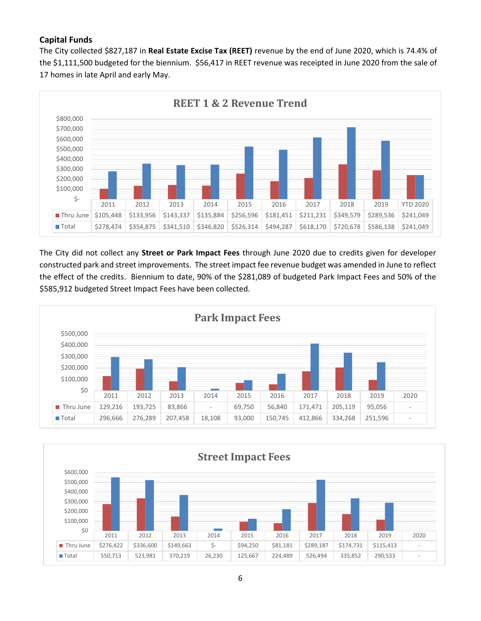## **Capital Funds**

The City collected \$827,187 in **Real Estate Excise Tax (REET)** revenue by the end of June 2020, which is 74.4% of the \$1,111,500 budgeted for the biennium. \$56,417 in REET revenue was receipted in June 2020 from the sale of 17 homes in late April and early May.



The City did not collect any **Street or Park Impact Fees** through June 2020 due to credits given for developer constructed park and street improvements. The street impact fee revenue budget was amended in June to reflect the effect of the credits. Biennium to date, 90% of the \$281,089 of budgeted Park Impact Fees and 50% of the \$585,912 budgeted Street Impact Fees have been collected.



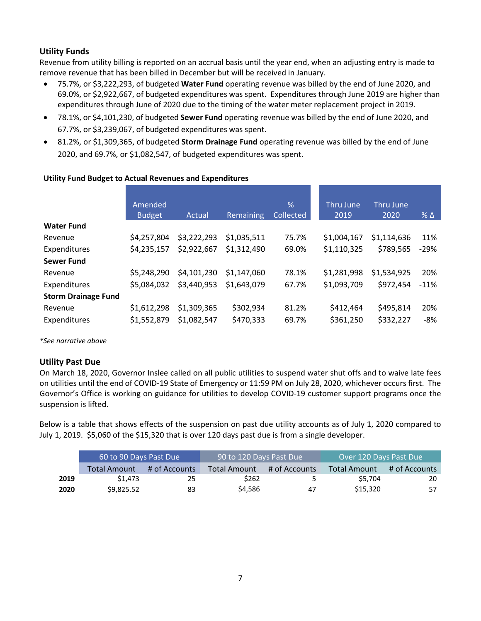## **Utility Funds**

Revenue from utility billing is reported on an accrual basis until the year end, when an adjusting entry is made to remove revenue that has been billed in December but will be received in January.

- 75.7%, or \$3,222,293, of budgeted **Water Fund** operating revenue was billed by the end of June 2020, and 69.0%, or \$2,922,667, of budgeted expenditures was spent. Expenditures through June 2019 are higher than expenditures through June of 2020 due to the timing of the water meter replacement project in 2019.
- 78.1%, or \$4,101,230, of budgeted **Sewer Fund** operating revenue was billed by the end of June 2020, and 67.7%, or \$3,239,067, of budgeted expenditures was spent.
- 81.2%, or \$1,309,365, of budgeted **Storm Drainage Fund** operating revenue was billed by the end of June 2020, and 69.7%, or \$1,082,547, of budgeted expenditures was spent.

|                            | Amended<br><b>Budget</b> | Actual      | Remaining   | %<br><b>Collected</b> | Thru June<br>2019 | Thru June<br>2020 | $%$ $\triangle$ |
|----------------------------|--------------------------|-------------|-------------|-----------------------|-------------------|-------------------|-----------------|
| <b>Water Fund</b>          |                          |             |             |                       |                   |                   |                 |
| Revenue                    | \$4,257,804              | \$3,222,293 | \$1,035,511 | 75.7%                 | \$1,004,167       | \$1,114,636       | 11%             |
| Expenditures               | \$4,235,157              | \$2,922,667 | \$1,312,490 | 69.0%                 | \$1,110,325       | \$789,565         | $-29%$          |
| <b>Sewer Fund</b>          |                          |             |             |                       |                   |                   |                 |
| Revenue                    | \$5,248,290              | \$4,101,230 | \$1,147,060 | 78.1%                 | \$1,281,998       | \$1,534,925       | 20%             |
| Expenditures               | \$5,084,032              | \$3,440,953 | \$1,643,079 | 67.7%                 | \$1,093,709       | \$972,454         | $-11%$          |
| <b>Storm Drainage Fund</b> |                          |             |             |                       |                   |                   |                 |
| Revenue                    | \$1,612,298              | \$1,309,365 | \$302,934   | 81.2%                 | \$412,464         | \$495,814         | 20%             |
| Expenditures               | \$1,552,879              | \$1,082,547 | \$470,333   | 69.7%                 | \$361,250         | \$332,227         | -8%             |

### **Utility Fund Budget to Actual Revenues and Expenditures**

*\*See narrative above*

## **Utility Past Due**

On March 18, 2020, Governor Inslee called on all public utilities to suspend water shut offs and to waive late fees on utilities until the end of COVID-19 State of Emergency or 11:59 PM on July 28, 2020, whichever occurs first. The Governor's Office is working on guidance for utilities to develop COVID-19 customer support programs once the suspension is lifted.

Below is a table that shows effects of the suspension on past due utility accounts as of July 1, 2020 compared to July 1, 2019. \$5,060 of the \$15,320 that is over 120 days past due is from a single developer.

|      | 60 to 90 Days Past Due |               | 90 to 120 Days Past Due |               | Over 120 Days Past Due |               |  |
|------|------------------------|---------------|-------------------------|---------------|------------------------|---------------|--|
|      | Total Amount           | # of Accounts | Total Amount            | # of Accounts | <b>Total Amount</b>    | # of Accounts |  |
| 2019 | \$1.473                | 25            | \$262                   | -5            | \$5.704                | 20            |  |
| 2020 | \$9.825.52             | 83            | \$4.586                 | 47            | \$15,320               | 57            |  |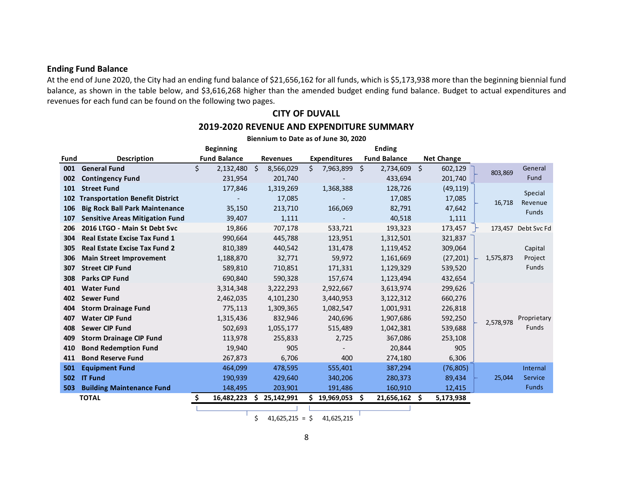### **Ending Fund Balance**

At the end of June 2020, the City had an ending fund balance of \$21,656,162 for all funds, which is \$5,173,938 more than the beginning biennial fund balance, as shown in the table below, and \$3,616,268 higher than the amended budget ending fund balance. Budget to actual expenditures and revenues for each fund can be found on the following two pages.

**CITY OF DUVALL**

#### **Beginning Ending Fund Description Fund Balance Revenues Expenditures Fund Balance Net Change 001 General Fund** \$ 2,132,480 \$ 8,566,029 \$ 7,963,899 \$ 2,734,609 \$ 602,129 **002 Contingency Fund 1002 231,954 201,740** - 433,694 201,740 **101 Street Fund** 177,846 1,319,269 1,368,388 128,726 (49,119) **102 Transportation Benefit District** - 17,085 - 17,085 17,085 **106 Big Rock Ball Park Maintenance** 35,150 213,710 166,069 82,791 47,642 **107 Sensitive Areas Mitigation Fund** 39,407 1,111 - 40,518 1,111 **206 2016 LTGO - Main St Debt Svc** 19,866 707,178 533,721 193,323 173,457 <sup>→</sup> 173,457 Debt Svc Fd **304 Real Estate Excise Tax Fund 1** 990,664 445,788 123,951 1,312,501 321,837 **305 Real Estate Excise Tax Fund 2** 810,389 440,542 131,478 1,119,452 309,064 **306 Main Street Improvement** 1,188,870 32,771 59,972 1,161,669 (27,201) **307 Street CIP Fund 171,331 589,810 589,810 710,851 171,331 1,129,329 539,520 308 Parks CIP Fund** 690,840 590,328 157,674 1,123,494 432,654 **401 Water Fund** 3,314,348 3,222,293 2,922,667 3,613,974 299,626 **402 Sewer Fund** 2,462,035 4,101,230 3,440,953 3,122,312 660,276 **404 Storm Drainage Fund** 775,113 1,309,365 1,082,547 1,001,931 226,818 **407 Water CIP Fund** 1,315,436 832,946 240,696 1,907,686 592,250 **408 Sewer CIP Fund** 502,693 1,055,177 515,489 1,042,381 539,688 **409 Storm Drainage CIP Fund** 113,978 255,833 2,725 367,086 253,108 **410 Bond Redemption Fund** 19,940 905 - 20,844 905 **411 Bond Reserve Fund 1207,873 6,706 400 274,180 6,306 501 Equipment Fund** 176,805) **464,099** 478,595 555,401 387,294 (76,805) **502 IT Fund** 190,939 429,640 340,206 280,373 89,434 **503 Building Maintenance Fund** 148,495 203,901 191,486 160,910 12,415 **TOTAL \$ 16,482,223 \$ 25,142,991 \$ 19,969,053 \$ 21,656,162 \$ 5,173,938 Biennium to Date as of June 30, 2020** 1,575,873 Capital Project Funds 803,869 General Fund 2,578,978 Proprietary Funds 25,044 Internal Service Funds 16,718 Special Revenue Funds

## **2019-2020 REVENUE AND EXPENDITURE SUMMARY**

 $\frac{1}{2}$  41,625,215 =  $\frac{1}{2}$  41,625,215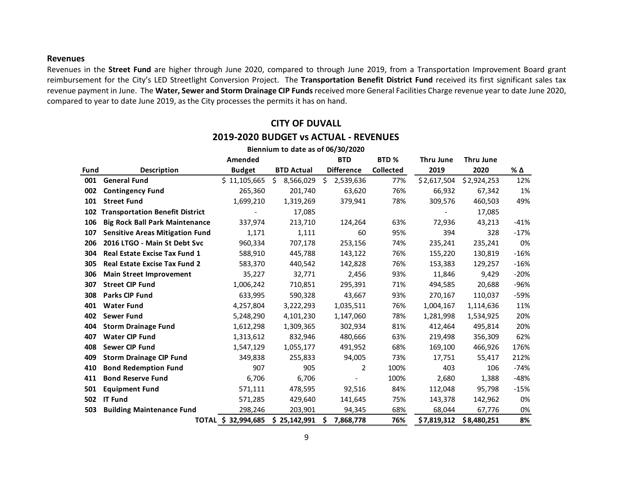#### **Revenues**

Revenues in the **Street Fund** are higher through June 2020, compared to through June 2019, from a Transportation Improvement Board grant reimbursement for the City's LED Streetlight Conversion Project. The **Transportation Benefit District Fund** received its first significant sales tax revenue payment in June. The **Water, Sewer and Storm Drainage CIP Funds**received more General Facilities Charge revenue year to date June 2020, compared to year to date June 2019, as the City processes the permits it has on hand.

#### **Fund Description Amended Budget BTD Actual BTD Difference BTD % Collected Thru June 2019 Thru June 2020 % ∆ 001 General Fund 5 11,105,665 \$ 8,566,029 \$ 2,539,636** 77% \$ 2,617,504 \$ 2,924,253 12% **002 Contingency Fund** 265,360 201,740 63,620 76% 66,932 67,342 1% **101 Street Fund** 1,699,210 1,319,269 379,941 78% 309,576 460,503 49% **102 Transportation Benefit District** - 17,085 - 17,085 **106 Big Rock Ball Park Maintenance** 337,974 213,710 124,264 63% 72,936 43,213 -41% **107 Sensitive Areas Mitigation Fund** 1,171 1,111 60 95% 394 328 -17% **206 2016 LTGO - Main St Debt Svc** 960,334 707,178 253,156 74% 235,241 235,241 0% **304 Real Estate Excise Tax Fund 1** 588,910 445,788 143,122 76% 155,220 130,819 -16% **305 Real Estate Excise Tax Fund 2** 583,370 440,542 142,828 76% 153,383 129,257 -16% **306 Main Street Improvement** 35,227 32,771 2,456 93% 11,846 9,429 -20% **307 Street CIP Fund** 1,006,242 710,851 295,391 71% 494,585 20,688 -96% **308 Parks CIP Fund** 633,995 590,328 43,667 93% 270,167 110,037 -59% **401 Water Fund** 4,257,804 3,222,293 1,035,511 76% 1,004,167 1,114,636 11% **402 Sewer Fund** 5,248,290 4,101,230 1,147,060 78% 1,281,998 1,534,925 20% **404 Storm Drainage Fund** 1,612,298 1,309,365 302,934 81% 412,464 495,814 20% **407 Water CIP Fund** 1,313,612 832,946 480,666 63% 219,498 356,309 62% **408 Sewer CIP Fund** 1,547,129 1,055,177 491,952 68% 169,100 466,926 176% **409 Storm Drainage CIP Fund** 349,838 255,833 94,005 73% 17,751 55,417 212% **410 Bond Redemption Fund** 907 905 2 100% 403 106 -74% **411 Bond Reserve Fund** 6,706 6,706 - 100% 2,680 1,388 -48% **501 Equipment Fund** 571,111 478,595 92,516 84% 112,048 95,798 -15% **502 IT Fund** 571,285 429,640 141,645 75% 143,378 142,962 0% **503 Building Maintenance Fund** 298,246 203,901 94,345 68% 68,044 67,776 0% **TOTAL \$ 32,994,685 \$ 25,142,991 \$ 7,868,778 76% 7,819,312 \$ \$ 8,480,251 8% Biennium to date as of 06/30/2020**

## **CITY OF DUVALL 2019-2020 BUDGET vs ACTUAL - REVENUES**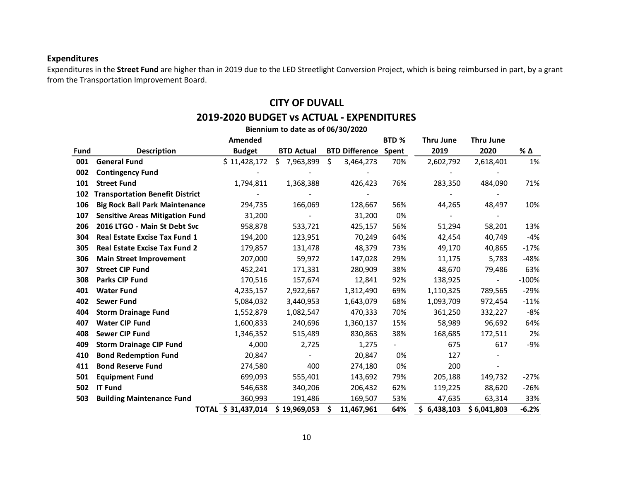## **Expenditures**

Expenditures in the **Street Fund** are higher than in 2019 due to the LED Streetlight Conversion Project, which is being reimbursed in part, by a grant from the Transportation Improvement Board.

## **CITY OF DUVALL**

## **2019-2020 BUDGET vs ACTUAL - EXPENDITURES**

|      | Biennium to date as of 06/30/2020      |                     |                   |    |                       |       |             |                  |         |  |  |
|------|----------------------------------------|---------------------|-------------------|----|-----------------------|-------|-------------|------------------|---------|--|--|
|      |                                        | Amended             |                   |    |                       | BTD % | Thru June   | <b>Thru June</b> |         |  |  |
| Fund | <b>Description</b>                     | <b>Budget</b>       | <b>BTD Actual</b> |    | <b>BTD Difference</b> | Spent | 2019        | 2020             | % Δ     |  |  |
| 001  | <b>General Fund</b>                    | \$11,428,172        | \$7,963,899       | \$ | 3,464,273             | 70%   | 2,602,792   | 2,618,401        | 1%      |  |  |
| 002  | <b>Contingency Fund</b>                |                     |                   |    |                       |       |             |                  |         |  |  |
| 101  | <b>Street Fund</b>                     | 1,794,811           | 1,368,388         |    | 426,423               | 76%   | 283,350     | 484,090          | 71%     |  |  |
| 102  | <b>Transportation Benefit District</b> |                     |                   |    |                       |       |             |                  |         |  |  |
| 106  | <b>Big Rock Ball Park Maintenance</b>  | 294,735             | 166,069           |    | 128,667               | 56%   | 44,265      | 48,497           | 10%     |  |  |
| 107  | <b>Sensitive Areas Mitigation Fund</b> | 31,200              |                   |    | 31,200                | 0%    |             |                  |         |  |  |
| 206  | 2016 LTGO - Main St Debt Svc           | 958,878             | 533,721           |    | 425,157               | 56%   | 51,294      | 58,201           | 13%     |  |  |
| 304  | <b>Real Estate Excise Tax Fund 1</b>   | 194,200             | 123,951           |    | 70,249                | 64%   | 42,454      | 40,749           | -4%     |  |  |
| 305  | <b>Real Estate Excise Tax Fund 2</b>   | 179,857             | 131,478           |    | 48,379                | 73%   | 49,170      | 40,865           | $-17%$  |  |  |
| 306  | <b>Main Street Improvement</b>         | 207,000             | 59,972            |    | 147,028               | 29%   | 11,175      | 5,783            | -48%    |  |  |
| 307  | <b>Street CIP Fund</b>                 | 452,241             | 171,331           |    | 280,909               | 38%   | 48,670      | 79,486           | 63%     |  |  |
| 308  | <b>Parks CIP Fund</b>                  | 170,516             | 157,674           |    | 12,841                | 92%   | 138,925     | $\frac{1}{2}$    | $-100%$ |  |  |
| 401  | <b>Water Fund</b>                      | 4,235,157           | 2,922,667         |    | 1,312,490             | 69%   | 1,110,325   | 789,565          | $-29%$  |  |  |
| 402  | <b>Sewer Fund</b>                      | 5,084,032           | 3,440,953         |    | 1,643,079             | 68%   | 1,093,709   | 972,454          | $-11%$  |  |  |
| 404  | <b>Storm Drainage Fund</b>             | 1,552,879           | 1,082,547         |    | 470,333               | 70%   | 361,250     | 332,227          | -8%     |  |  |
| 407  | <b>Water CIP Fund</b>                  | 1,600,833           | 240,696           |    | 1,360,137             | 15%   | 58,989      | 96,692           | 64%     |  |  |
| 408  | <b>Sewer CIP Fund</b>                  | 1,346,352           | 515,489           |    | 830,863               | 38%   | 168,685     | 172,511          | 2%      |  |  |
| 409  | <b>Storm Drainage CIP Fund</b>         | 4,000               | 2,725             |    | 1,275                 |       | 675         | 617              | -9%     |  |  |
| 410  | <b>Bond Redemption Fund</b>            | 20,847              |                   |    | 20,847                | 0%    | 127         |                  |         |  |  |
| 411  | <b>Bond Reserve Fund</b>               | 274,580             | 400               |    | 274,180               | 0%    | 200         |                  |         |  |  |
| 501  | <b>Equipment Fund</b>                  | 699,093             | 555,401           |    | 143,692               | 79%   | 205,188     | 149,732          | $-27%$  |  |  |
| 502  | <b>IT Fund</b>                         | 546,638             | 340,206           |    | 206,432               | 62%   | 119,225     | 88,620           | -26%    |  |  |
| 503  | <b>Building Maintenance Fund</b>       | 360,993             | 191,486           |    | 169,507               | 53%   | 47,635      | 63,314           | 33%     |  |  |
|      |                                        | TOTAL \$ 31,437,014 | \$19,969,053      | S  | 11,467,961            | 64%   | \$6,438,103 | \$6,041,803      | $-6.2%$ |  |  |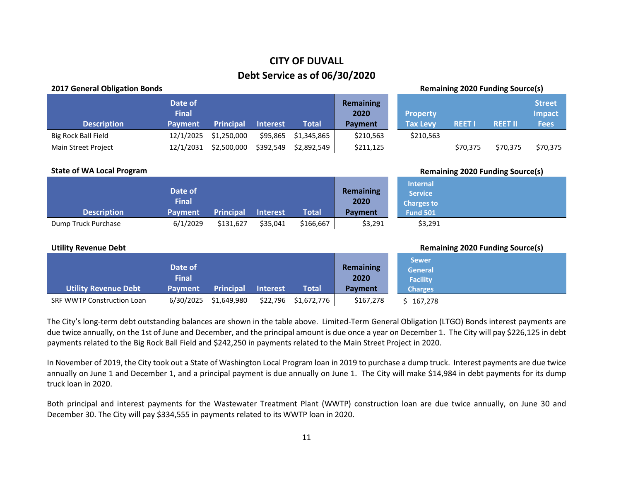# **CITY OF DUVALL Debt Service as of 06/30/2020**

| <b>2017 General Obligation Bonds</b> |                                           |                  |                 |              |                                            |                                                                           | <b>Remaining 2020 Funding Source(s)</b> |                |                                               |
|--------------------------------------|-------------------------------------------|------------------|-----------------|--------------|--------------------------------------------|---------------------------------------------------------------------------|-----------------------------------------|----------------|-----------------------------------------------|
| <b>Description</b>                   | Date of<br><b>Final</b><br>Payment        | <b>Principal</b> | <b>Interest</b> | <b>Total</b> | <b>Remaining</b><br>2020<br>Payment        | <b>Property</b><br><b>Tax Levy</b>                                        | <b>REET I</b>                           | <b>REET II</b> | <b>Street</b><br><b>Impact</b><br><b>Fees</b> |
| <b>Big Rock Ball Field</b>           | 12/1/2025                                 | \$1,250,000      | \$95,865        | \$1,345,865  | \$210,563                                  | \$210,563                                                                 |                                         |                |                                               |
| Main Street Project                  | 12/1/2031                                 | \$2,500,000      | \$392,549       | \$2,892,549  | \$211,125                                  |                                                                           | \$70,375                                | \$70,375       | \$70,375                                      |
| <b>State of WA Local Program</b>     |                                           |                  |                 |              |                                            |                                                                           | <b>Remaining 2020 Funding Source(s)</b> |                |                                               |
| <b>Description</b>                   | Date of<br><b>Final</b><br><b>Payment</b> | <b>Principal</b> | <b>Interest</b> | <b>Total</b> | <b>Remaining</b><br>2020<br>Payment        | <b>Internal</b><br><b>Service</b><br><b>Charges to</b><br><b>Fund 501</b> |                                         |                |                                               |
| Dump Truck Purchase                  | 6/1/2029                                  | \$131,627        | \$35,041        | \$166,667    | \$3,291                                    |                                                                           |                                         |                |                                               |
|                                      |                                           |                  |                 |              |                                            | \$3,291                                                                   |                                         |                |                                               |
| <b>Utility Revenue Debt</b>          |                                           |                  |                 |              |                                            |                                                                           | <b>Remaining 2020 Funding Source(s)</b> |                |                                               |
| <b>Utility Revenue Debt</b>          | Date of<br><b>Final</b><br><b>Payment</b> | <b>Principal</b> | <b>Interest</b> | <b>Total</b> | <b>Remaining</b><br>2020<br><b>Payment</b> | <b>Sewer</b><br><b>General</b><br><b>Facility</b><br><b>Charges</b>       |                                         |                |                                               |

The City's long-term debt outstanding balances are shown in the table above. Limited-Term General Obligation (LTGO) Bonds interest payments are due twice annually, on the 1st of June and December, and the principal amount is due once a year on December 1. The City will pay \$226,125 in debt payments related to the Big Rock Ball Field and \$242,250 in payments related to the Main Street Project in 2020.

In November of 2019, the City took out a State of Washington Local Program loan in 2019 to purchase a dump truck. Interest payments are due twice annually on June 1 and December 1, and a principal payment is due annually on June 1. The City will make \$14,984 in debt payments for its dump truck loan in 2020.

Both principal and interest payments for the Wastewater Treatment Plant (WWTP) construction loan are due twice annually, on June 30 and December 30. The City will pay \$334,555 in payments related to its WWTP loan in 2020.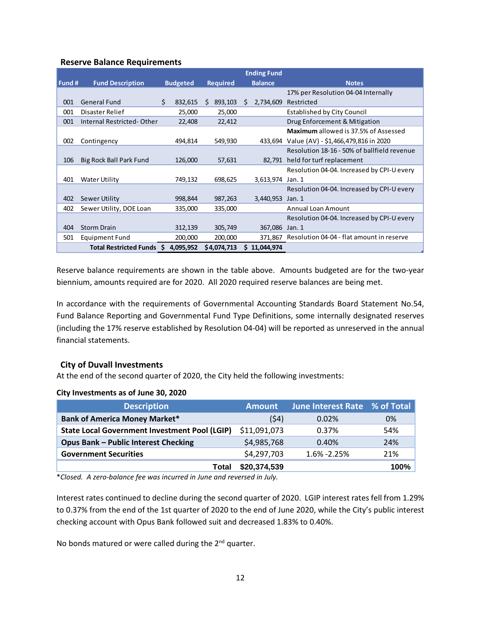## **Reserve Balance Requirements**

|        |                           |                 |                 | <b>Ending Fund</b> |                                              |
|--------|---------------------------|-----------------|-----------------|--------------------|----------------------------------------------|
| Fund # | <b>Fund Description</b>   | <b>Budgeted</b> | <b>Required</b> | <b>Balance</b>     | <b>Notes</b>                                 |
|        |                           |                 |                 |                    | 17% per Resolution 04-04 Internally          |
| 001    | <b>General Fund</b>       | Ś.<br>832,615   | Ŝ.<br>893,103   | 2,734,609<br>S.    | Restricted                                   |
| 001    | Disaster Relief           | 25,000          | 25,000          |                    | <b>Established by City Council</b>           |
| 001    | Internal Restricted-Other | 22,408          | 22,412          |                    | Drug Enforcement & Mitigation                |
|        |                           |                 |                 |                    | <b>Maximum</b> allowed is 37.5% of Assessed  |
| 002    | Contingency               | 494,814         | 549,930         |                    | 433,694 Value (AV) - \$1,466,479,816 in 2020 |
|        |                           |                 |                 |                    | Resolution 18-16 - 50% of ballfield revenue  |
| 106    | Big Rock Ball Park Fund   | 126,000         | 57,631          | 82,791             | held for turf replacement                    |
|        |                           |                 |                 |                    | Resolution 04-04. Increased by CPI-U every   |
| 401    | Water Utility             | 749,132         | 698,625         | 3,613,974          | Jan. 1                                       |
|        |                           |                 |                 |                    | Resolution 04-04. Increased by CPI-U every   |
| 402    | Sewer Utility             | 998,844         | 987,263         | 3,440,953          | Jan. 1                                       |
| 402    | Sewer Utility, DOE Loan   | 335,000         | 335,000         |                    | <b>Annual Loan Amount</b>                    |
|        |                           |                 |                 |                    | Resolution 04-04. Increased by CPI-U every   |
| 404    | <b>Storm Drain</b>        | 312,139         | 305,749         | 367,086            | Jan. 1                                       |
| 501    | Equipment Fund            | 200,000         | 200,000         | 371,867            | Resolution 04-04 - flat amount in reserve    |
|        | Total Restricted Funds \$ | 4,095,952       | \$4,074,713     | \$11,044,974       |                                              |

Reserve balance requirements are shown in the table above. Amounts budgeted are for the two-year biennium, amounts required are for 2020. All 2020 required reserve balances are being met.

In accordance with the requirements of Governmental Accounting Standards Board Statement No.54, Fund Balance Reporting and Governmental Fund Type Definitions, some internally designated reserves (including the 17% reserve established by Resolution 04-04) will be reported as unreserved in the annual financial statements.

### **City of Duvall Investments**

At the end of the second quarter of 2020, the City held the following investments:

### **City Investments as of June 30, 2020**

| <b>Description</b>                                   | <b>Amount</b> | June Interest Rate % of Total |      |
|------------------------------------------------------|---------------|-------------------------------|------|
| <b>Bank of America Money Market*</b>                 | (54)          | 0.02%                         | 0%   |
| <b>State Local Government Investment Pool (LGIP)</b> | \$11,091,073  | 0.37%                         | 54%  |
| <b>Opus Bank - Public Interest Checking</b>          | \$4,985,768   | 0.40%                         | 24%  |
| <b>Government Securities</b>                         | \$4,297,703   | $1.6\% - 2.25\%$              | 21%  |
| Total                                                | \$20,374,539  |                               | 100% |

\**Closed. A zero-balance fee was incurred in June and reversed in July.*

Interest rates continued to decline during the second quarter of 2020. LGIP interest rates fell from 1.29% to 0.37% from the end of the 1st quarter of 2020 to the end of June 2020, while the City's public interest checking account with Opus Bank followed suit and decreased 1.83% to 0.40%.

No bonds matured or were called during the  $2^{nd}$  quarter.